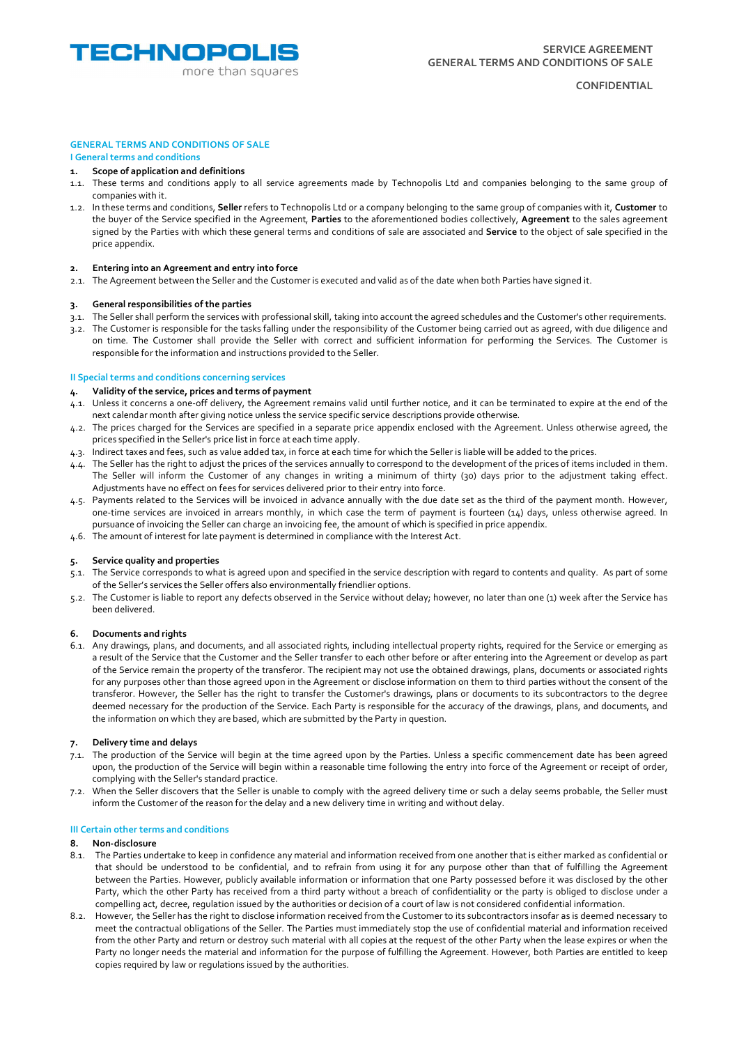

### **CONFIDENTIAL**

# **GENERAL TERMS AND CONDITIONS OF SALE**

# **I General terms and conditions**

- **1. Scope of application and definitions**
- 1.1. These terms and conditions apply to all service agreements made by Technopolis Ltd and companies belonging to the same group of companies with it.
- 1.2. In these terms and conditions, **Seller** refers to Technopolis Ltd or a company belonging to the same group of companies with it, **Customer** to the buyer of the Service specified in the Agreement, **Parties** to the aforementioned bodies collectively, **Agreement** to the sales agreement signed by the Parties with which these general terms and conditions of sale are associated and **Service** to the object of sale specified in the price appendix.

# **2. Entering into an Agreement and entry into force**

2.1. The Agreement between the Seller and the Customer is executed and valid as of the date when both Parties have signed it.

### **3. General responsibilities of the parties**

- 3.1. The Seller shall perform the services with professional skill, taking into account the agreed schedules and the Customer's other requirements.
- 3.2. The Customer is responsible for the tasks falling under the responsibility of the Customer being carried out as agreed, with due diligence and on time. The Customer shall provide the Seller with correct and sufficient information for performing the Services. The Customer is responsible for the information and instructions provided to the Seller.

# **II Special terms and conditions concerning services**

### **4. Validity of the service, prices and terms of payment**

- 4.1. Unless it concerns a one-off delivery, the Agreement remains valid until further notice, and it can be terminated to expire at the end of the next calendar month after giving notice unless the service specific service descriptions provide otherwise.
- 4.2. The prices charged for the Services are specified in a separate price appendix enclosed with the Agreement. Unless otherwise agreed, the prices specified in the Seller's price list in force at each time apply.
- 4.3. Indirect taxes and fees, such as value added tax, in force at each time for which the Seller is liable will be added to the prices.
- 4.4. The Seller has the right to adjust the prices of the services annually to correspond to the development of the prices of items included in them. The Seller will inform the Customer of any changes in writing a minimum of thirty (30) days prior to the adjustment taking effect. Adjustments have no effect on fees for services delivered prior to their entry into force.
- 4.5. Payments related to the Services will be invoiced in advance annually with the due date set as the third of the payment month. However, one-time services are invoiced in arrears monthly, in which case the term of payment is fourteen (14) days, unless otherwise agreed. In pursuance of invoicing the Seller can charge an invoicing fee, the amount of which is specified in price appendix.
- 4.6. The amount of interest for late payment is determined in compliance with the Interest Act.

# **5. Service quality and properties**

- 5.1. The Service corresponds to what is agreed upon and specified in the service description with regard to contents and quality. As part of some of the Seller's services the Seller offers also environmentally friendlier options.
- 5.2. The Customer is liable to report any defects observed in the Service without delay; however, no later than one (1) week after the Service has been delivered.

# **6. Documents and rights**

6.1. Any drawings, plans, and documents, and all associated rights, including intellectual property rights, required for the Service or emerging as a result of the Service that the Customer and the Seller transfer to each other before or after entering into the Agreement or develop as part of the Service remain the property of the transferor. The recipient may not use the obtained drawings, plans, documents or associated rights for any purposes other than those agreed upon in the Agreement or disclose information on them to third parties without the consent of the transferor. However, the Seller has the right to transfer the Customer's drawings, plans or documents to its subcontractors to the degree deemed necessary for the production of the Service. Each Party is responsible for the accuracy of the drawings, plans, and documents, and the information on which they are based, which are submitted by the Party in question.

#### **7. Delivery time and delays**

- 7.1. The production of the Service will begin at the time agreed upon by the Parties. Unless a specific commencement date has been agreed upon, the production of the Service will begin within a reasonable time following the entry into force of the Agreement or receipt of order, complying with the Seller's standard practice.
- 7.2. When the Seller discovers that the Seller is unable to comply with the agreed delivery time or such a delay seems probable, the Seller must inform the Customer of the reason for the delay and a new delivery time in writing and without delay.

#### **III Certain other terms and conditions**

#### **8. Non-disclosure**

- 8.1. The Parties undertake to keep in confidence any material and information received from one another that is either marked as confidential or that should be understood to be confidential, and to refrain from using it for any purpose other than that of fulfilling the Agreement between the Parties. However, publicly available information or information that one Party possessed before it was disclosed by the other Party, which the other Party has received from a third party without a breach of confidentiality or the party is obliged to disclose under a compelling act, decree, regulation issued by the authorities or decision of a court of law is not considered confidential information.
- 8.2. However, the Seller has the right to disclose information received from the Customer to its subcontractors insofar as is deemed necessary to meet the contractual obligations of the Seller. The Parties must immediately stop the use of confidential material and information received from the other Party and return or destroy such material with all copies at the request of the other Party when the lease expires or when the Party no longer needs the material and information for the purpose of fulfilling the Agreement. However, both Parties are entitled to keep copies required by law or regulations issued by the authorities.